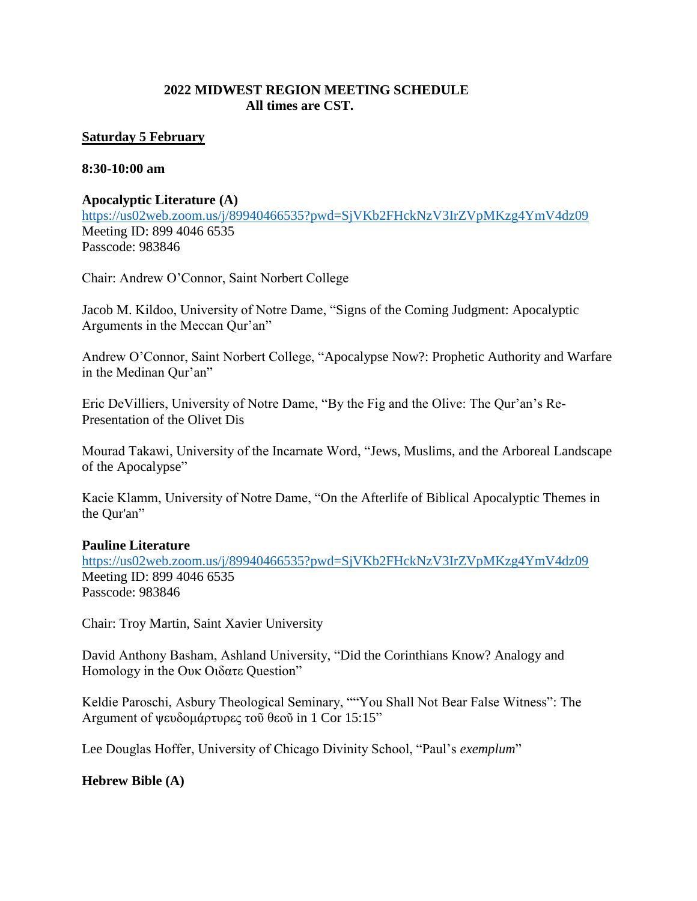# **2022 MIDWEST REGION MEETING SCHEDULE All times are CST.**

### **Saturday 5 February**

#### **8:30-10:00 am**

#### **Apocalyptic Literature (A)**

<https://us02web.zoom.us/j/89940466535?pwd=SjVKb2FHckNzV3IrZVpMKzg4YmV4dz09> Meeting ID: 899 4046 6535 Passcode: 983846

Chair: Andrew O'Connor, Saint Norbert College

Jacob M. Kildoo, University of Notre Dame, "Signs of the Coming Judgment: Apocalyptic Arguments in the Meccan Qur'an"

Andrew O'Connor, Saint Norbert College, "Apocalypse Now?: Prophetic Authority and Warfare in the Medinan Qur'an"

Eric DeVilliers, University of Notre Dame, "By the Fig and the Olive: The Qur'an's Re-Presentation of the Olivet Dis

Mourad Takawi, University of the Incarnate Word, "Jews, Muslims, and the Arboreal Landscape of the Apocalypse"

Kacie Klamm, University of Notre Dame, "On the Afterlife of Biblical Apocalyptic Themes in the Qur'an"

### **Pauline Literature**

<https://us02web.zoom.us/j/89940466535?pwd=SjVKb2FHckNzV3IrZVpMKzg4YmV4dz09> Meeting ID: 899 4046 6535 Passcode: 983846

Chair: Troy Martin, Saint Xavier University

David Anthony Basham, Ashland University, "Did the Corinthians Know? Analogy and Homology in the Ουκ Οιδατε Question"

Keldie Paroschi, Asbury Theological Seminary, ""You Shall Not Bear False Witness": The Argument of ψευδομάρτυρες τοῦ θεοῦ in 1 Cor 15:15"

Lee Douglas Hoffer, University of Chicago Divinity School, "Paul's *exemplum*"

### **Hebrew Bible (A)**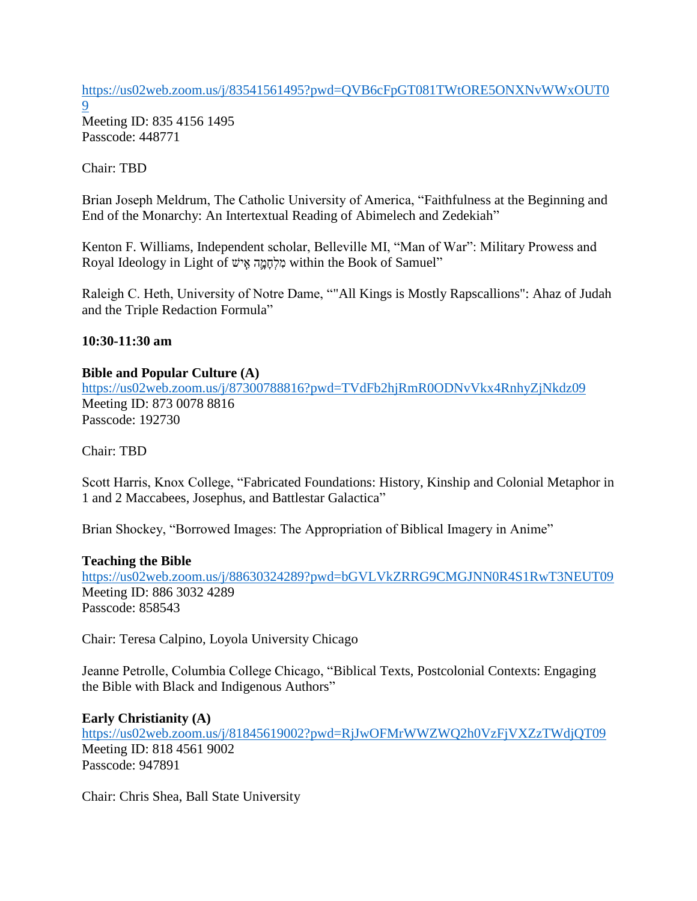[https://us02web.zoom.us/j/83541561495?pwd=QVB6cFpGT081TWtORE5ONXNvWWxOUT0](https://us02web.zoom.us/j/83541561495?pwd=QVB6cFpGT081TWtORE5ONXNvWWxOUT09) [9](https://us02web.zoom.us/j/83541561495?pwd=QVB6cFpGT081TWtORE5ONXNvWWxOUT09)

Meeting ID: 835 4156 1495 Passcode: 448771

Chair: TBD

Brian Joseph Meldrum, The Catholic University of America, "Faithfulness at the Beginning and End of the Monarchy: An Intertextual Reading of Abimelech and Zedekiah"

Kenton F. Williams, Independent scholar, Belleville MI, "Man of War": Military Prowess and Royal Ideology in Light of מְלִחֲמֵה אֵישׁ within the Book of Samuel"

Raleigh C. Heth, University of Notre Dame, ""All Kings is Mostly Rapscallions": Ahaz of Judah and the Triple Redaction Formula"

## **10:30-11:30 am**

### **Bible and Popular Culture (A)**

<https://us02web.zoom.us/j/87300788816?pwd=TVdFb2hjRmR0ODNvVkx4RnhyZjNkdz09> Meeting ID: 873 0078 8816 Passcode: 192730

Chair: TBD

Scott Harris, Knox College, "Fabricated Foundations: History, Kinship and Colonial Metaphor in 1 and 2 Maccabees, Josephus, and Battlestar Galactica"

Brian Shockey, "Borrowed Images: The Appropriation of Biblical Imagery in Anime"

### **Teaching the Bible**

<https://us02web.zoom.us/j/88630324289?pwd=bGVLVkZRRG9CMGJNN0R4S1RwT3NEUT09> Meeting ID: 886 3032 4289 Passcode: 858543

Chair: Teresa Calpino, Loyola University Chicago

Jeanne Petrolle, Columbia College Chicago, "Biblical Texts, Postcolonial Contexts: Engaging the Bible with Black and Indigenous Authors"

**Early Christianity (A)** <https://us02web.zoom.us/j/81845619002?pwd=RjJwOFMrWWZWQ2h0VzFjVXZzTWdjQT09> Meeting ID: 818 4561 9002 Passcode: 947891

Chair: Chris Shea, Ball State University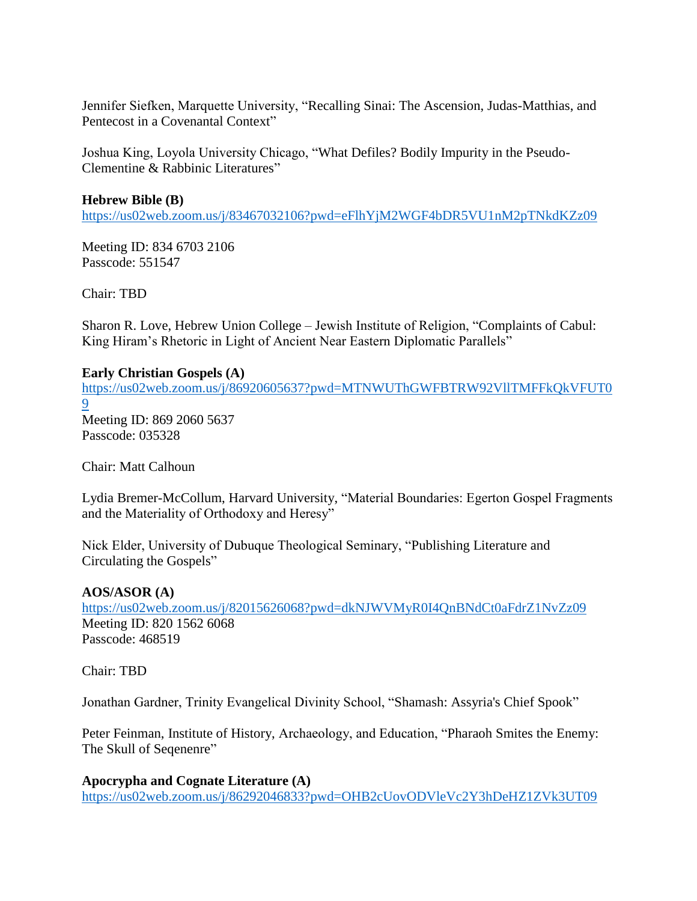Jennifer Siefken, Marquette University, "Recalling Sinai: The Ascension, Judas-Matthias, and Pentecost in a Covenantal Context"

Joshua King, Loyola University Chicago, "What Defiles? Bodily Impurity in the Pseudo-Clementine & Rabbinic Literatures"

## **Hebrew Bible (B)**

<https://us02web.zoom.us/j/83467032106?pwd=eFlhYjM2WGF4bDR5VU1nM2pTNkdKZz09>

Meeting ID: 834 6703 2106 Passcode: 551547

Chair: TBD

Sharon R. Love, Hebrew Union College – Jewish Institute of Religion, "Complaints of Cabul: King Hiram's Rhetoric in Light of Ancient Near Eastern Diplomatic Parallels"

## **Early Christian Gospels (A)**

[https://us02web.zoom.us/j/86920605637?pwd=MTNWUThGWFBTRW92VllTMFFkQkVFUT0](https://us02web.zoom.us/j/86920605637?pwd=MTNWUThGWFBTRW92VllTMFFkQkVFUT09) [9](https://us02web.zoom.us/j/86920605637?pwd=MTNWUThGWFBTRW92VllTMFFkQkVFUT09) Meeting ID: 869 2060 5637 Passcode: 035328

Chair: Matt Calhoun

Lydia Bremer-McCollum, Harvard University, "Material Boundaries: Egerton Gospel Fragments and the Materiality of Orthodoxy and Heresy"

Nick Elder, University of Dubuque Theological Seminary, "Publishing Literature and Circulating the Gospels"

### **AOS/ASOR (A)**

<https://us02web.zoom.us/j/82015626068?pwd=dkNJWVMyR0I4QnBNdCt0aFdrZ1NvZz09> Meeting ID: 820 1562 6068 Passcode: 468519

Chair: TBD

Jonathan Gardner, Trinity Evangelical Divinity School, "Shamash: Assyria's Chief Spook"

Peter Feinman, Institute of History, Archaeology, and Education, "Pharaoh Smites the Enemy: The Skull of Seqenenre"

**Apocrypha and Cognate Literature (A)** <https://us02web.zoom.us/j/86292046833?pwd=OHB2cUovODVleVc2Y3hDeHZ1ZVk3UT09>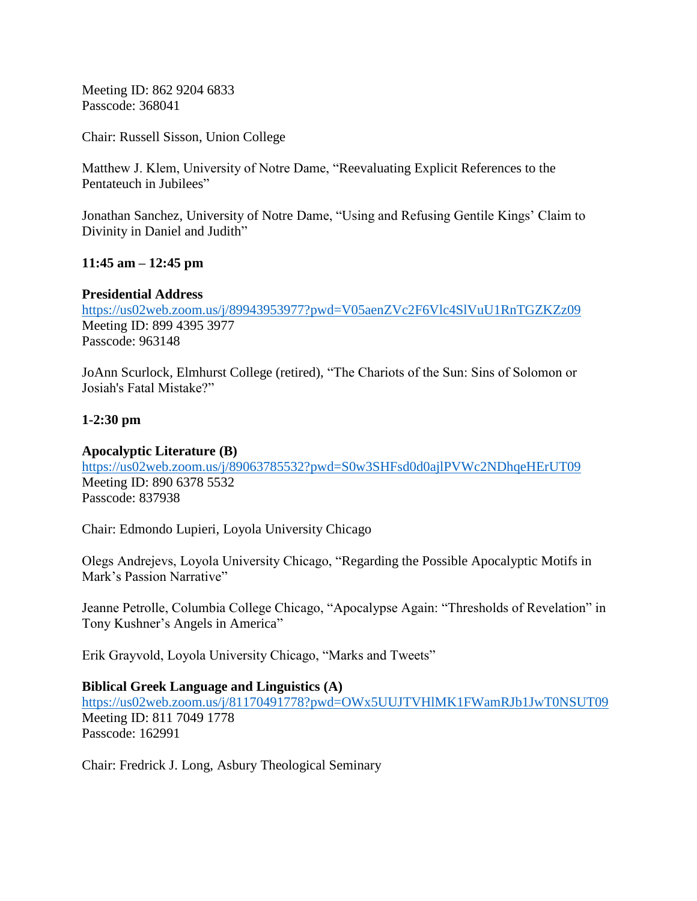Meeting ID: 862 9204 6833 Passcode: 368041

Chair: Russell Sisson, Union College

Matthew J. Klem, University of Notre Dame, "Reevaluating Explicit References to the Pentateuch in Jubilees"

Jonathan Sanchez, University of Notre Dame, "Using and Refusing Gentile Kings' Claim to Divinity in Daniel and Judith"

## **11:45 am – 12:45 pm**

## **Presidential Address**

<https://us02web.zoom.us/j/89943953977?pwd=V05aenZVc2F6Vlc4SlVuU1RnTGZKZz09> Meeting ID: 899 4395 3977 Passcode: 963148

JoAnn Scurlock, Elmhurst College (retired), "The Chariots of the Sun: Sins of Solomon or Josiah's Fatal Mistake?"

## **1-2:30 pm**

### **Apocalyptic Literature (B)**

<https://us02web.zoom.us/j/89063785532?pwd=S0w3SHFsd0d0ajlPVWc2NDhqeHErUT09> Meeting ID: 890 6378 5532 Passcode: 837938

Chair: Edmondo Lupieri, Loyola University Chicago

Olegs Andrejevs, Loyola University Chicago, "Regarding the Possible Apocalyptic Motifs in Mark's Passion Narrative"

Jeanne Petrolle, Columbia College Chicago, "Apocalypse Again: "Thresholds of Revelation" in Tony Kushner's Angels in America"

Erik Grayvold, Loyola University Chicago, "Marks and Tweets"

### **Biblical Greek Language and Linguistics (A)**

<https://us02web.zoom.us/j/81170491778?pwd=OWx5UUJTVHlMK1FWamRJb1JwT0NSUT09> Meeting ID: 811 7049 1778 Passcode: 162991

Chair: Fredrick J. Long, Asbury Theological Seminary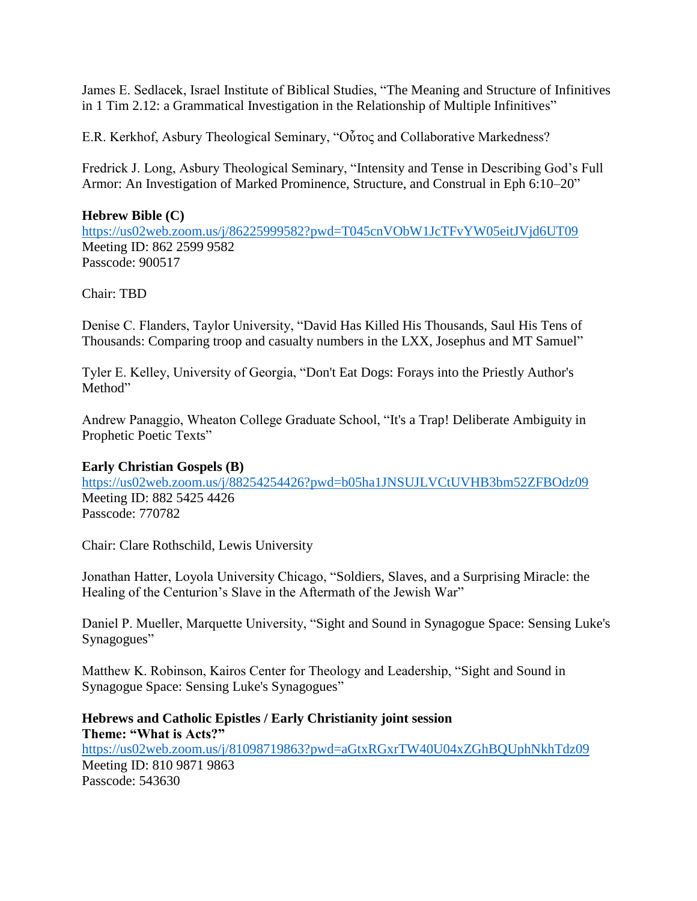James E. Sedlacek, Israel Institute of Biblical Studies, "The Meaning and Structure of Infinitives in 1 Tim 2.12: a Grammatical Investigation in the Relationship of Multiple Infinitives"

E.R. Kerkhof, Asbury Theological Seminary, "Οὗτος and Collaborative Markedness?

Fredrick J. Long, Asbury Theological Seminary, "Intensity and Tense in Describing God's Full Armor: An Investigation of Marked Prominence, Structure, and Construal in Eph 6:10–20"

## **Hebrew Bible (C)**

<https://us02web.zoom.us/j/86225999582?pwd=T045cnVObW1JcTFvYW05eitJVjd6UT09> Meeting ID: 862 2599 9582 Passcode: 900517

Chair: TBD

Denise C. Flanders, Taylor University, "David Has Killed His Thousands, Saul His Tens of Thousands: Comparing troop and casualty numbers in the LXX, Josephus and MT Samuel"

Tyler E. Kelley, University of Georgia, "Don't Eat Dogs: Forays into the Priestly Author's Method"

Andrew Panaggio, Wheaton College Graduate School, "It's a Trap! Deliberate Ambiguity in Prophetic Poetic Texts"

### **Early Christian Gospels (B)**

<https://us02web.zoom.us/j/88254254426?pwd=b05ha1JNSUJLVCtUVHB3bm52ZFBOdz09> Meeting ID: 882 5425 4426 Passcode: 770782

Chair: Clare Rothschild, Lewis University

Jonathan Hatter, Loyola University Chicago, "Soldiers, Slaves, and a Surprising Miracle: the Healing of the Centurion's Slave in the Aftermath of the Jewish War"

Daniel P. Mueller, Marquette University, "Sight and Sound in Synagogue Space: Sensing Luke's Synagogues"

Matthew K. Robinson, Kairos Center for Theology and Leadership, "Sight and Sound in Synagogue Space: Sensing Luke's Synagogues"

**Hebrews and Catholic Epistles / Early Christianity joint session Theme: "What is Acts?"** <https://us02web.zoom.us/j/81098719863?pwd=aGtxRGxrTW40U04xZGhBQUphNkhTdz09> Meeting ID: 810 9871 9863 Passcode: 543630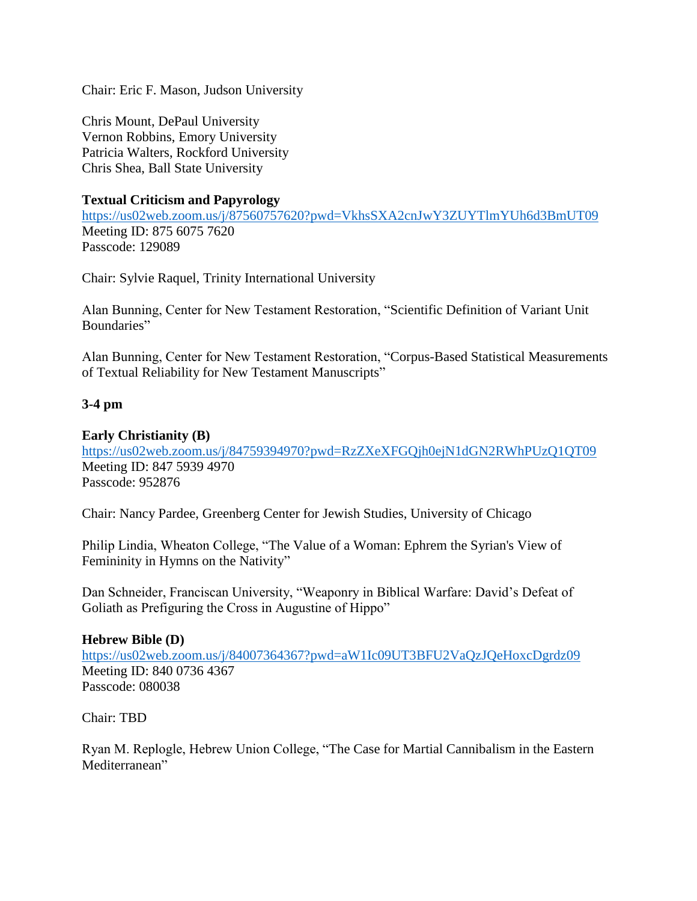Chair: Eric F. Mason, Judson University

Chris Mount, DePaul University Vernon Robbins, Emory University Patricia Walters, Rockford University Chris Shea, Ball State University

## **Textual Criticism and Papyrology**

<https://us02web.zoom.us/j/87560757620?pwd=VkhsSXA2cnJwY3ZUYTlmYUh6d3BmUT09> Meeting ID: 875 6075 7620 Passcode: 129089

Chair: Sylvie Raquel, Trinity International University

Alan Bunning, Center for New Testament Restoration, "Scientific Definition of Variant Unit Boundaries"

Alan Bunning, Center for New Testament Restoration, "Corpus-Based Statistical Measurements of Textual Reliability for New Testament Manuscripts"

# **3-4 pm**

# **Early Christianity (B)**

<https://us02web.zoom.us/j/84759394970?pwd=RzZXeXFGQjh0ejN1dGN2RWhPUzQ1QT09> Meeting ID: 847 5939 4970 Passcode: 952876

Chair: Nancy Pardee, Greenberg Center for Jewish Studies, University of Chicago

Philip Lindia, Wheaton College, "The Value of a Woman: Ephrem the Syrian's View of Femininity in Hymns on the Nativity"

Dan Schneider, Franciscan University, "Weaponry in Biblical Warfare: David's Defeat of Goliath as Prefiguring the Cross in Augustine of Hippo"

### **Hebrew Bible (D)**

<https://us02web.zoom.us/j/84007364367?pwd=aW1Ic09UT3BFU2VaQzJQeHoxcDgrdz09> Meeting ID: 840 0736 4367 Passcode: 080038

Chair: TBD

Ryan M. Replogle, Hebrew Union College, "The Case for Martial Cannibalism in the Eastern Mediterranean"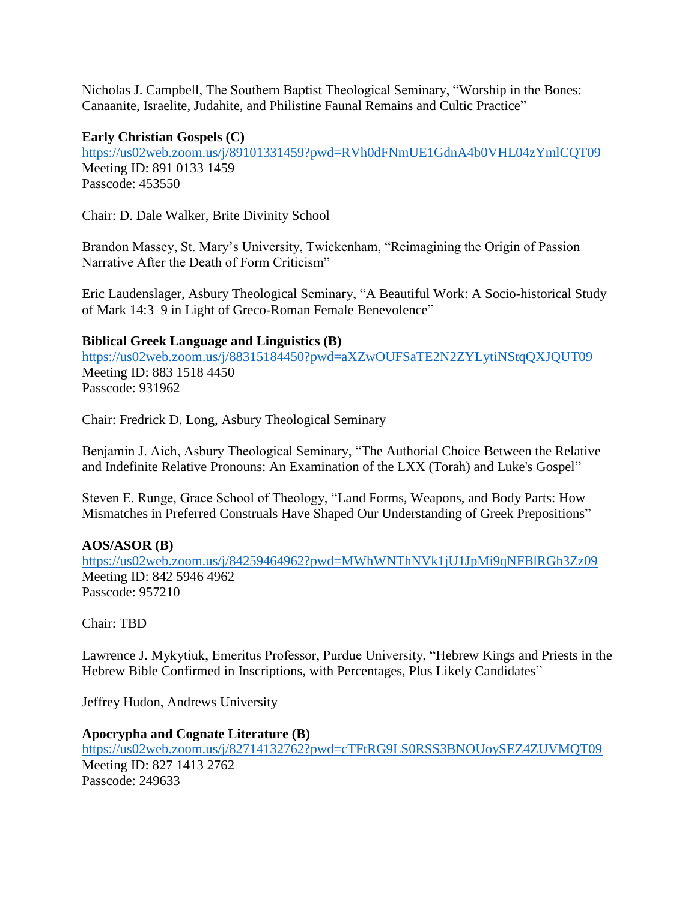Nicholas J. Campbell, The Southern Baptist Theological Seminary, "Worship in the Bones: Canaanite, Israelite, Judahite, and Philistine Faunal Remains and Cultic Practice"

### **Early Christian Gospels (C)**

<https://us02web.zoom.us/j/89101331459?pwd=RVh0dFNmUE1GdnA4b0VHL04zYmlCQT09> Meeting ID: 891 0133 1459 Passcode: 453550

Chair: D. Dale Walker, Brite Divinity School

Brandon Massey, St. Mary's University, Twickenham, "Reimagining the Origin of Passion Narrative After the Death of Form Criticism"

Eric Laudenslager, Asbury Theological Seminary, "A Beautiful Work: A Socio-historical Study of Mark 14:3–9 in Light of Greco-Roman Female Benevolence"

### **Biblical Greek Language and Linguistics (B)**

<https://us02web.zoom.us/j/88315184450?pwd=aXZwOUFSaTE2N2ZYLytiNStqQXJQUT09> Meeting ID: 883 1518 4450 Passcode: 931962

Chair: Fredrick D. Long, Asbury Theological Seminary

Benjamin J. Aich, Asbury Theological Seminary, "The Authorial Choice Between the Relative and Indefinite Relative Pronouns: An Examination of the LXX (Torah) and Luke's Gospel"

Steven E. Runge, Grace School of Theology, "Land Forms, Weapons, and Body Parts: How Mismatches in Preferred Construals Have Shaped Our Understanding of Greek Prepositions"

# **AOS/ASOR (B)**

<https://us02web.zoom.us/j/84259464962?pwd=MWhWNThNVk1jU1JpMi9qNFBlRGh3Zz09> Meeting ID: 842 5946 4962 Passcode: 957210

Chair: TBD

Lawrence J. Mykytiuk, Emeritus Professor, Purdue University, "Hebrew Kings and Priests in the Hebrew Bible Confirmed in Inscriptions, with Percentages, Plus Likely Candidates"

Jeffrey Hudon, Andrews University

# **Apocrypha and Cognate Literature (B)**

<https://us02web.zoom.us/j/82714132762?pwd=cTFtRG9LS0RSS3BNOUoySEZ4ZUVMQT09> Meeting ID: 827 1413 2762

Passcode: 249633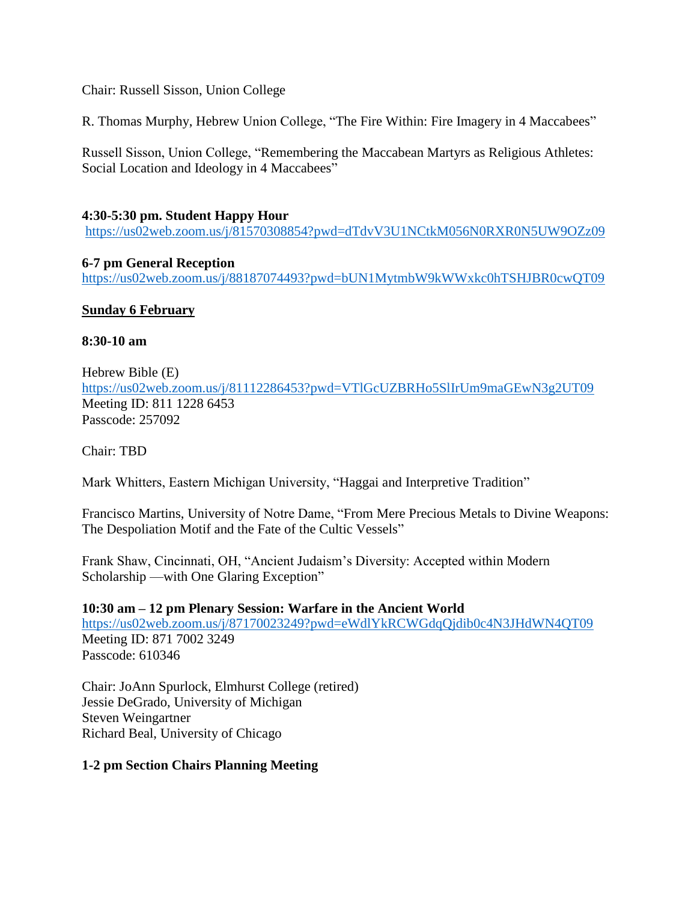Chair: Russell Sisson, Union College

R. Thomas Murphy, Hebrew Union College, "The Fire Within: Fire Imagery in 4 Maccabees"

Russell Sisson, Union College, "Remembering the Maccabean Martyrs as Religious Athletes: Social Location and Ideology in 4 Maccabees"

## **4:30-5:30 pm. Student Happy Hour**

<https://us02web.zoom.us/j/81570308854?pwd=dTdvV3U1NCtkM056N0RXR0N5UW9OZz09>

### **6-7 pm General Reception**

<https://us02web.zoom.us/j/88187074493?pwd=bUN1MytmbW9kWWxkc0hTSHJBR0cwQT09>

## **Sunday 6 February**

### **8:30-10 am**

Hebrew Bible (E) <https://us02web.zoom.us/j/81112286453?pwd=VTlGcUZBRHo5SlIrUm9maGEwN3g2UT09> Meeting ID: 811 1228 6453 Passcode: 257092

Chair: TBD

Mark Whitters, Eastern Michigan University, "Haggai and Interpretive Tradition"

Francisco Martins, University of Notre Dame, "From Mere Precious Metals to Divine Weapons: The Despoliation Motif and the Fate of the Cultic Vessels"

Frank Shaw, Cincinnati, OH, "Ancient Judaism's Diversity: Accepted within Modern Scholarship —with One Glaring Exception"

### **10:30 am – 12 pm Plenary Session: Warfare in the Ancient World**

<https://us02web.zoom.us/j/87170023249?pwd=eWdlYkRCWGdqQjdib0c4N3JHdWN4QT09> Meeting ID: 871 7002 3249 Passcode: 610346

Chair: JoAnn Spurlock, Elmhurst College (retired) Jessie DeGrado, University of Michigan Steven Weingartner Richard Beal, University of Chicago

### **1-2 pm Section Chairs Planning Meeting**